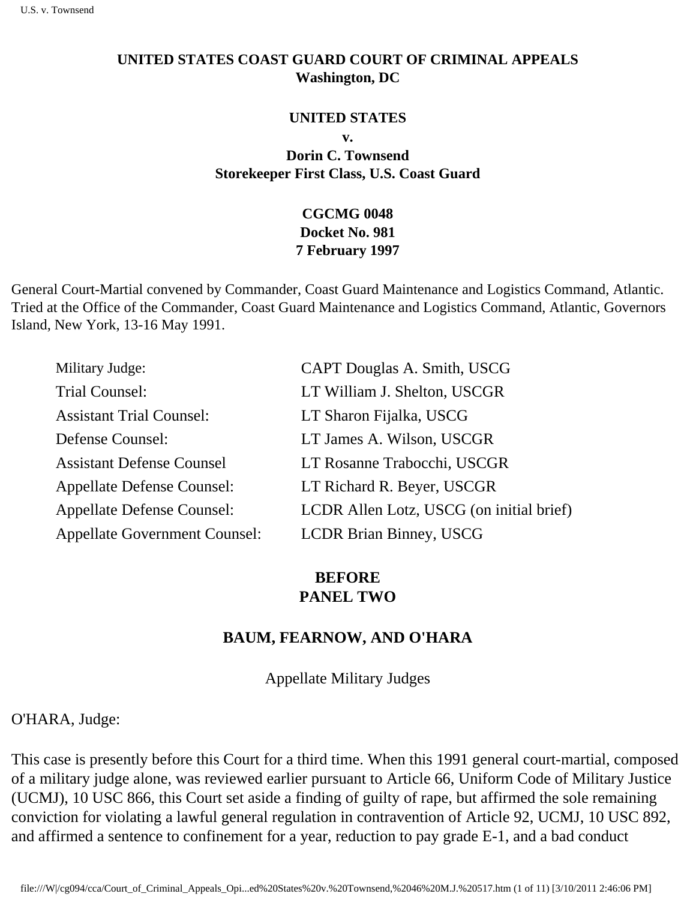#### **UNITED STATES COAST GUARD COURT OF CRIMINAL APPEALS Washington, DC**

#### **UNITED STATES**

**v.**

**Dorin C. Townsend Storekeeper First Class, U.S. Coast Guard** 

#### **CGCMG 0048 Docket No. 981 7 February 1997**

General Court-Martial convened by Commander, Coast Guard Maintenance and Logistics Command, Atlantic. Tried at the Office of the Commander, Coast Guard Maintenance and Logistics Command, Atlantic, Governors Island, New York, 13-16 May 1991.

| Military Judge:                      | CAPT Douglas A. Smith, USCG              |
|--------------------------------------|------------------------------------------|
| Trial Counsel:                       | LT William J. Shelton, USCGR             |
| <b>Assistant Trial Counsel:</b>      | LT Sharon Fijalka, USCG                  |
| Defense Counsel:                     | LT James A. Wilson, USCGR                |
| <b>Assistant Defense Counsel</b>     | LT Rosanne Trabocchi, USCGR              |
| <b>Appellate Defense Counsel:</b>    | LT Richard R. Beyer, USCGR               |
| <b>Appellate Defense Counsel:</b>    | LCDR Allen Lotz, USCG (on initial brief) |
| <b>Appellate Government Counsel:</b> | <b>LCDR Brian Binney, USCG</b>           |

## **BEFORE PANEL TWO**

#### **BAUM, FEARNOW, AND O'HARA**

Appellate Military Judges

O'HARA, Judge:

This case is presently before this Court for a third time. When this 1991 general court-martial, composed of a military judge alone, was reviewed earlier pursuant to Article 66, Uniform Code of Military Justice (UCMJ), 10 USC 866, this Court set aside a finding of guilty of rape, but affirmed the sole remaining conviction for violating a lawful general regulation in contravention of Article 92, UCMJ, 10 USC 892, and affirmed a sentence to confinement for a year, reduction to pay grade E-1, and a bad conduct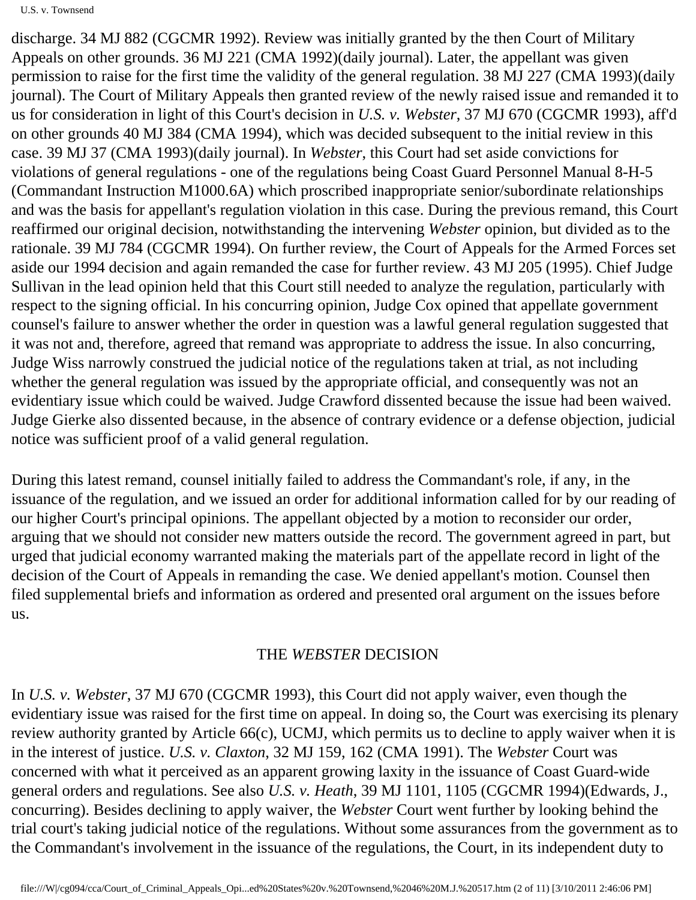discharge. 34 MJ 882 (CGCMR 1992). Review was initially granted by the then Court of Military Appeals on other grounds. 36 MJ 221 (CMA 1992)(daily journal). Later, the appellant was given permission to raise for the first time the validity of the general regulation. 38 MJ 227 (CMA 1993)(daily journal). The Court of Military Appeals then granted review of the newly raised issue and remanded it to us for consideration in light of this Court's decision in *U.S. v. Webster*, 37 MJ 670 (CGCMR 1993), aff'd on other grounds 40 MJ 384 (CMA 1994), which was decided subsequent to the initial review in this case. 39 MJ 37 (CMA 1993)(daily journal). In *Webster*, this Court had set aside convictions for violations of general regulations - one of the regulations being Coast Guard Personnel Manual 8-H-5 (Commandant Instruction M1000.6A) which proscribed inappropriate senior/subordinate relationships and was the basis for appellant's regulation violation in this case. During the previous remand, this Court reaffirmed our original decision, notwithstanding the intervening *Webster* opinion, but divided as to the rationale. 39 MJ 784 (CGCMR 1994). On further review, the Court of Appeals for the Armed Forces set aside our 1994 decision and again remanded the case for further review. 43 MJ 205 (1995). Chief Judge Sullivan in the lead opinion held that this Court still needed to analyze the regulation, particularly with respect to the signing official. In his concurring opinion, Judge Cox opined that appellate government counsel's failure to answer whether the order in question was a lawful general regulation suggested that it was not and, therefore, agreed that remand was appropriate to address the issue. In also concurring, Judge Wiss narrowly construed the judicial notice of the regulations taken at trial, as not including whether the general regulation was issued by the appropriate official, and consequently was not an evidentiary issue which could be waived. Judge Crawford dissented because the issue had been waived. Judge Gierke also dissented because, in the absence of contrary evidence or a defense objection, judicial notice was sufficient proof of a valid general regulation.

During this latest remand, counsel initially failed to address the Commandant's role, if any, in the issuance of the regulation, and we issued an order for additional information called for by our reading of our higher Court's principal opinions. The appellant objected by a motion to reconsider our order, arguing that we should not consider new matters outside the record. The government agreed in part, but urged that judicial economy warranted making the materials part of the appellate record in light of the decision of the Court of Appeals in remanding the case. We denied appellant's motion. Counsel then filed supplemental briefs and information as ordered and presented oral argument on the issues before us.

#### THE *WEBSTER* DECISION

In *U.S. v. Webster*, 37 MJ 670 (CGCMR 1993), this Court did not apply waiver, even though the evidentiary issue was raised for the first time on appeal. In doing so, the Court was exercising its plenary review authority granted by Article 66(c), UCMJ, which permits us to decline to apply waiver when it is in the interest of justice. *U.S. v. Claxton*, 32 MJ 159, 162 (CMA 1991). The *Webster* Court was concerned with what it perceived as an apparent growing laxity in the issuance of Coast Guard-wide general orders and regulations. See also *U.S. v. Heath*, 39 MJ 1101, 1105 (CGCMR 1994)(Edwards, J., concurring). Besides declining to apply waiver, the *Webster* Court went further by looking behind the trial court's taking judicial notice of the regulations. Without some assurances from the government as to the Commandant's involvement in the issuance of the regulations, the Court, in its independent duty to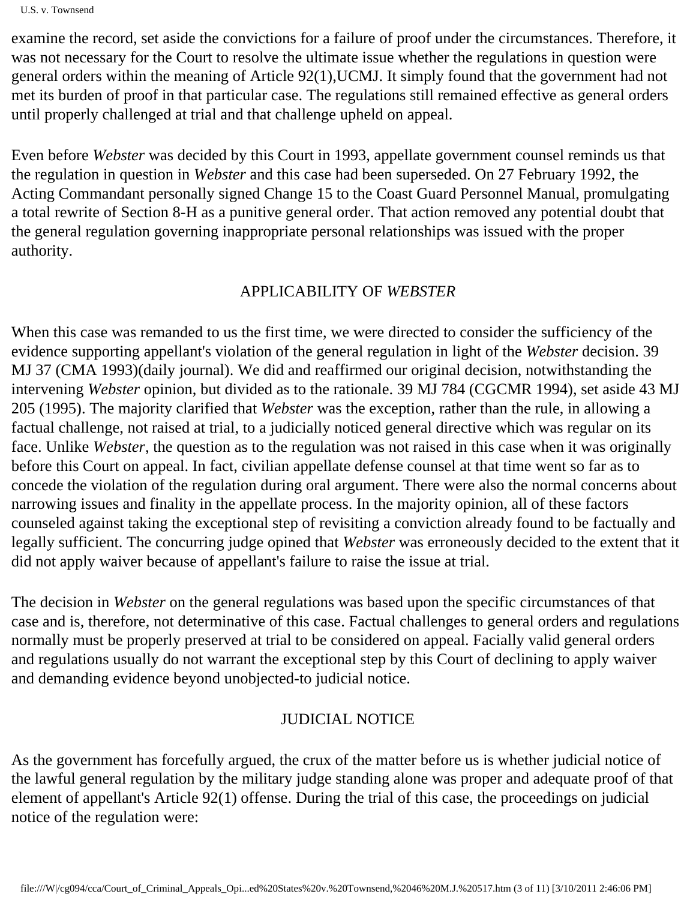examine the record, set aside the convictions for a failure of proof under the circumstances. Therefore, it was not necessary for the Court to resolve the ultimate issue whether the regulations in question were general orders within the meaning of Article 92(1),UCMJ. It simply found that the government had not met its burden of proof in that particular case. The regulations still remained effective as general orders until properly challenged at trial and that challenge upheld on appeal.

Even before *Webster* was decided by this Court in 1993, appellate government counsel reminds us that the regulation in question in *Webster* and this case had been superseded. On 27 February 1992, the Acting Commandant personally signed Change 15 to the Coast Guard Personnel Manual, promulgating a total rewrite of Section 8-H as a punitive general order. That action removed any potential doubt that the general regulation governing inappropriate personal relationships was issued with the proper authority.

### APPLICABILITY OF *WEBSTER*

When this case was remanded to us the first time, we were directed to consider the sufficiency of the evidence supporting appellant's violation of the general regulation in light of the *Webster* decision. 39 MJ 37 (CMA 1993)(daily journal). We did and reaffirmed our original decision, notwithstanding the intervening *Webster* opinion, but divided as to the rationale. 39 MJ 784 (CGCMR 1994), set aside 43 MJ 205 (1995). The majority clarified that *Webster* was the exception, rather than the rule, in allowing a factual challenge, not raised at trial, to a judicially noticed general directive which was regular on its face. Unlike *Webster*, the question as to the regulation was not raised in this case when it was originally before this Court on appeal. In fact, civilian appellate defense counsel at that time went so far as to concede the violation of the regulation during oral argument. There were also the normal concerns about narrowing issues and finality in the appellate process. In the majority opinion, all of these factors counseled against taking the exceptional step of revisiting a conviction already found to be factually and legally sufficient. The concurring judge opined that *Webster* was erroneously decided to the extent that it did not apply waiver because of appellant's failure to raise the issue at trial.

The decision in *Webster* on the general regulations was based upon the specific circumstances of that case and is, therefore, not determinative of this case. Factual challenges to general orders and regulations normally must be properly preserved at trial to be considered on appeal. Facially valid general orders and regulations usually do not warrant the exceptional step by this Court of declining to apply waiver and demanding evidence beyond unobjected-to judicial notice.

## JUDICIAL NOTICE

As the government has forcefully argued, the crux of the matter before us is whether judicial notice of the lawful general regulation by the military judge standing alone was proper and adequate proof of that element of appellant's Article 92(1) offense. During the trial of this case, the proceedings on judicial notice of the regulation were: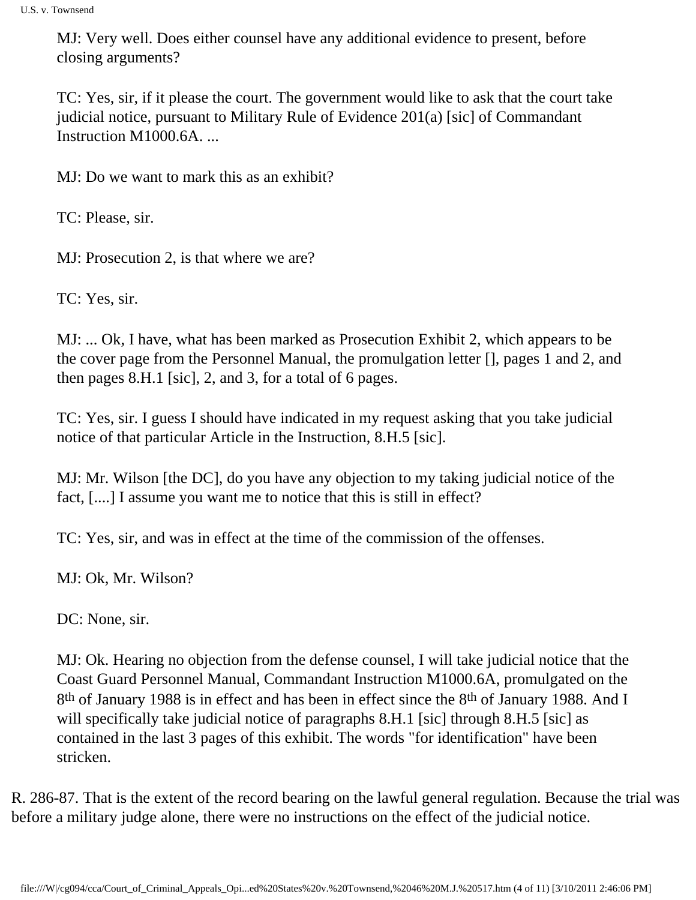MJ: Very well. Does either counsel have any additional evidence to present, before closing arguments?

TC: Yes, sir, if it please the court. The government would like to ask that the court take judicial notice, pursuant to Military Rule of Evidence 201(a) [sic] of Commandant Instruction M1000.6A. ...

MJ: Do we want to mark this as an exhibit?

TC: Please, sir.

MJ: Prosecution 2, is that where we are?

TC: Yes, sir.

MJ: ... Ok, I have, what has been marked as Prosecution Exhibit 2, which appears to be the cover page from the Personnel Manual, the promulgation letter [], pages 1 and 2, and then pages 8.H.1 [sic], 2, and 3, for a total of 6 pages.

TC: Yes, sir. I guess I should have indicated in my request asking that you take judicial notice of that particular Article in the Instruction, 8.H.5 [sic].

MJ: Mr. Wilson [the DC], do you have any objection to my taking judicial notice of the fact, [....] I assume you want me to notice that this is still in effect?

TC: Yes, sir, and was in effect at the time of the commission of the offenses.

MJ: Ok, Mr. Wilson?

DC: None, sir.

MJ: Ok. Hearing no objection from the defense counsel, I will take judicial notice that the Coast Guard Personnel Manual, Commandant Instruction M1000.6A, promulgated on the 8th of January 1988 is in effect and has been in effect since the 8th of January 1988. And I will specifically take judicial notice of paragraphs 8.H.1 [sic] through 8.H.5 [sic] as contained in the last 3 pages of this exhibit. The words "for identification" have been stricken.

R. 286-87. That is the extent of the record bearing on the lawful general regulation. Because the trial was before a military judge alone, there were no instructions on the effect of the judicial notice.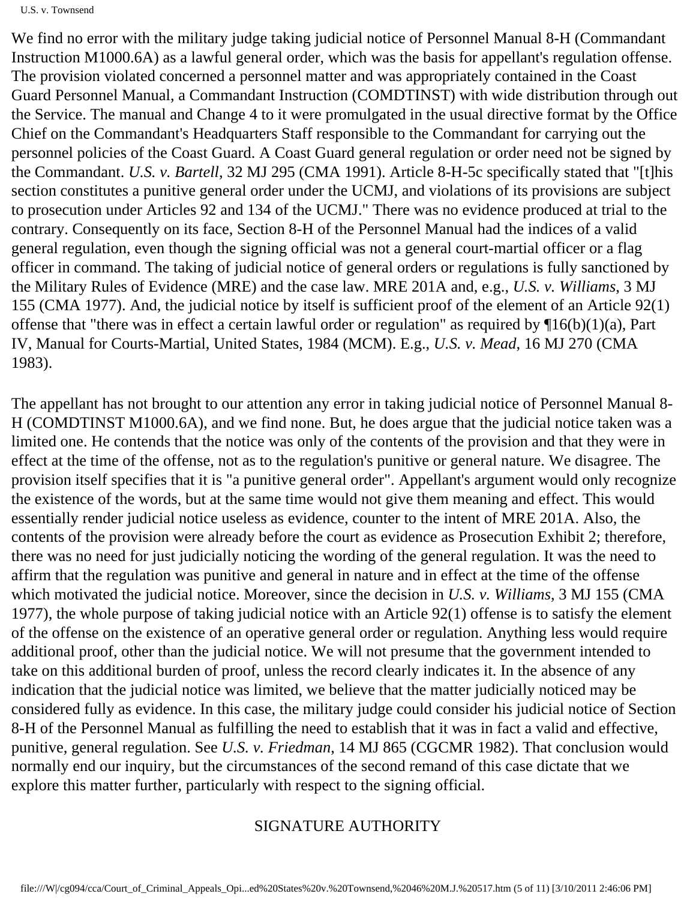U.S. v. Townsend

We find no error with the military judge taking judicial notice of Personnel Manual 8-H (Commandant Instruction M1000.6A) as a lawful general order, which was the basis for appellant's regulation offense. The provision violated concerned a personnel matter and was appropriately contained in the Coast Guard Personnel Manual, a Commandant Instruction (COMDTINST) with wide distribution through out the Service. The manual and Change 4 to it were promulgated in the usual directive format by the Office Chief on the Commandant's Headquarters Staff responsible to the Commandant for carrying out the personnel policies of the Coast Guard. A Coast Guard general regulation or order need not be signed by the Commandant. *U.S. v. Bartell*, 32 MJ 295 (CMA 1991). Article 8-H-5c specifically stated that "[t]his section constitutes a punitive general order under the UCMJ, and violations of its provisions are subject to prosecution under Articles 92 and 134 of the UCMJ." There was no evidence produced at trial to the contrary. Consequently on its face, Section 8-H of the Personnel Manual had the indices of a valid general regulation, even though the signing official was not a general court-martial officer or a flag officer in command. The taking of judicial notice of general orders or regulations is fully sanctioned by the Military Rules of Evidence (MRE) and the case law. MRE 201A and, e.g., *U.S. v. Williams*, 3 MJ 155 (CMA 1977). And, the judicial notice by itself is sufficient proof of the element of an Article 92(1) offense that "there was in effect a certain lawful order or regulation" as required by  $\Pi_0(b)(1)(a)$ , Part IV, Manual for Courts-Martial, United States, 1984 (MCM). E.g., *U.S. v. Mead*, 16 MJ 270 (CMA 1983).

The appellant has not brought to our attention any error in taking judicial notice of Personnel Manual 8- H (COMDTINST M1000.6A), and we find none. But, he does argue that the judicial notice taken was a limited one. He contends that the notice was only of the contents of the provision and that they were in effect at the time of the offense, not as to the regulation's punitive or general nature. We disagree. The provision itself specifies that it is "a punitive general order". Appellant's argument would only recognize the existence of the words, but at the same time would not give them meaning and effect. This would essentially render judicial notice useless as evidence, counter to the intent of MRE 201A. Also, the contents of the provision were already before the court as evidence as Prosecution Exhibit 2; therefore, there was no need for just judicially noticing the wording of the general regulation. It was the need to affirm that the regulation was punitive and general in nature and in effect at the time of the offense which motivated the judicial notice. Moreover, since the decision in *U.S. v. Williams*, 3 MJ 155 (CMA 1977), the whole purpose of taking judicial notice with an Article 92(1) offense is to satisfy the element of the offense on the existence of an operative general order or regulation. Anything less would require additional proof, other than the judicial notice. We will not presume that the government intended to take on this additional burden of proof, unless the record clearly indicates it. In the absence of any indication that the judicial notice was limited, we believe that the matter judicially noticed may be considered fully as evidence. In this case, the military judge could consider his judicial notice of Section 8-H of the Personnel Manual as fulfilling the need to establish that it was in fact a valid and effective, punitive, general regulation. See *U.S. v. Friedman*, 14 MJ 865 (CGCMR 1982). That conclusion would normally end our inquiry, but the circumstances of the second remand of this case dictate that we explore this matter further, particularly with respect to the signing official.

## SIGNATURE AUTHORITY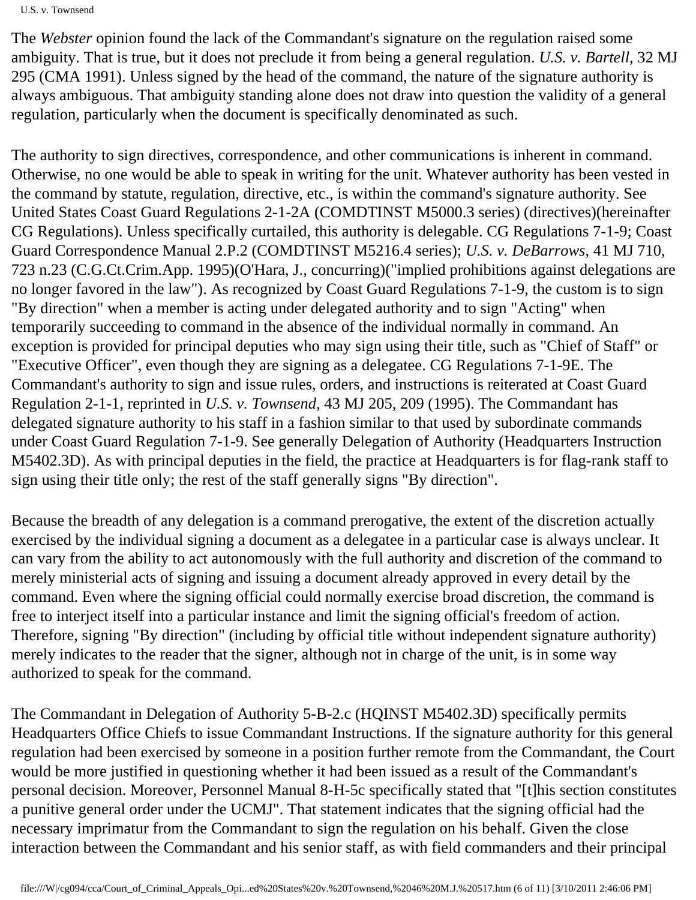U.S. v. Townsend

The *Webster* opinion found the lack of the Commandant's signature on the regulation raised some ambiguity. That is true, but it does not preclude it from being a general regulation. *U.S. v. Bartell*, 32 MJ 295 (CMA 1991). Unless signed by the head of the command, the nature of the signature authority is always ambiguous. That ambiguity standing alone does not draw into question the validity of a general regulation, particularly when the document is specifically denominated as such.

The authority to sign directives, correspondence, and other communications is inherent in command. Otherwise, no one would be able to speak in writing for the unit. Whatever authority has been vested in the command by statute, regulation, directive, etc., is within the command's signature authority. See United States Coast Guard Regulations 2-1-2A (COMDTINST M5000.3 series) (directives)(hereinafter CG Regulations). Unless specifically curtailed, this authority is delegable. CG Regulations 7-1-9; Coast Guard Correspondence Manual 2.P.2 (COMDTINST M5216.4 series); *U.S. v. DeBarrows*, 41 MJ 710, 723 n.23 (C.G.Ct.Crim.App. 1995)(O'Hara, J., concurring)("implied prohibitions against delegations are no longer favored in the law"). As recognized by Coast Guard Regulations 7-1-9, the custom is to sign "By direction" when a member is acting under delegated authority and to sign "Acting" when temporarily succeeding to command in the absence of the individual normally in command. An exception is provided for principal deputies who may sign using their title, such as "Chief of Staff" or "Executive Officer", even though they are signing as a delegatee. CG Regulations 7-1-9E. The Commandant's authority to sign and issue rules, orders, and instructions is reiterated at Coast Guard Regulation 2-1-1, reprinted in *U.S. v. Townsend*, 43 MJ 205, 209 (1995). The Commandant has delegated signature authority to his staff in a fashion similar to that used by subordinate commands under Coast Guard Regulation 7-1-9. See generally Delegation of Authority (Headquarters Instruction M5402.3D). As with principal deputies in the field, the practice at Headquarters is for flag-rank staff to sign using their title only; the rest of the staff generally signs "By direction".

Because the breadth of any delegation is a command prerogative, the extent of the discretion actually exercised by the individual signing a document as a delegatee in a particular case is always unclear. It can vary from the ability to act autonomously with the full authority and discretion of the command to merely ministerial acts of signing and issuing a document already approved in every detail by the command. Even where the signing official could normally exercise broad discretion, the command is free to interject itself into a particular instance and limit the signing official's freedom of action. Therefore, signing "By direction" (including by official title without independent signature authority) merely indicates to the reader that the signer, although not in charge of the unit, is in some way authorized to speak for the command.

The Commandant in Delegation of Authority 5-B-2.c (HQINST M5402.3D) specifically permits Headquarters Office Chiefs to issue Commandant Instructions. If the signature authority for this general regulation had been exercised by someone in a position further remote from the Commandant, the Court would be more justified in questioning whether it had been issued as a result of the Commandant's personal decision. Moreover, Personnel Manual 8-H-5c specifically stated that "[t]his section constitutes a punitive general order under the UCMJ". That statement indicates that the signing official had the necessary imprimatur from the Commandant to sign the regulation on his behalf. Given the close interaction between the Commandant and his senior staff, as with field commanders and their principal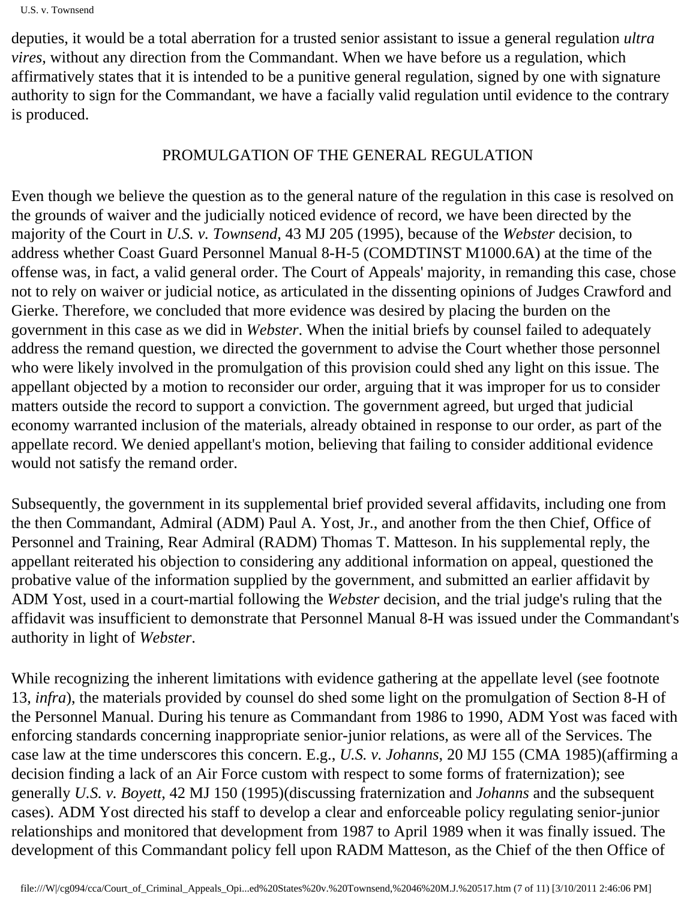deputies, it would be a total aberration for a trusted senior assistant to issue a general regulation *ultra vires*, without any direction from the Commandant. When we have before us a regulation, which affirmatively states that it is intended to be a punitive general regulation, signed by one with signature authority to sign for the Commandant, we have a facially valid regulation until evidence to the contrary is produced.

# PROMULGATION OF THE GENERAL REGULATION

Even though we believe the question as to the general nature of the regulation in this case is resolved on the grounds of waiver and the judicially noticed evidence of record, we have been directed by the majority of the Court in *U.S. v. Townsend*, 43 MJ 205 (1995), because of the *Webster* decision, to address whether Coast Guard Personnel Manual 8-H-5 (COMDTINST M1000.6A) at the time of the offense was, in fact, a valid general order. The Court of Appeals' majority, in remanding this case, chose not to rely on waiver or judicial notice, as articulated in the dissenting opinions of Judges Crawford and Gierke. Therefore, we concluded that more evidence was desired by placing the burden on the government in this case as we did in *Webster*. When the initial briefs by counsel failed to adequately address the remand question, we directed the government to advise the Court whether those personnel who were likely involved in the promulgation of this provision could shed any light on this issue. The appellant objected by a motion to reconsider our order, arguing that it was improper for us to consider matters outside the record to support a conviction. The government agreed, but urged that judicial economy warranted inclusion of the materials, already obtained in response to our order, as part of the appellate record. We denied appellant's motion, believing that failing to consider additional evidence would not satisfy the remand order.

Subsequently, the government in its supplemental brief provided several affidavits, including one from the then Commandant, Admiral (ADM) Paul A. Yost, Jr., and another from the then Chief, Office of Personnel and Training, Rear Admiral (RADM) Thomas T. Matteson. In his supplemental reply, the appellant reiterated his objection to considering any additional information on appeal, questioned the probative value of the information supplied by the government, and submitted an earlier affidavit by ADM Yost, used in a court-martial following the *Webster* decision, and the trial judge's ruling that the affidavit was insufficient to demonstrate that Personnel Manual 8-H was issued under the Commandant's authority in light of *Webster*.

While recognizing the inherent limitations with evidence gathering at the appellate level (see footnote 13, *infra*), the materials provided by counsel do shed some light on the promulgation of Section 8-H of the Personnel Manual. During his tenure as Commandant from 1986 to 1990, ADM Yost was faced with enforcing standards concerning inappropriate senior-junior relations, as were all of the Services. The case law at the time underscores this concern. E.g., *U.S. v. Johanns*, 20 MJ 155 (CMA 1985)(affirming a decision finding a lack of an Air Force custom with respect to some forms of fraternization); see generally *U.S. v. Boyett*, 42 MJ 150 (1995)(discussing fraternization and *Johanns* and the subsequent cases). ADM Yost directed his staff to develop a clear and enforceable policy regulating senior-junior relationships and monitored that development from 1987 to April 1989 when it was finally issued. The development of this Commandant policy fell upon RADM Matteson, as the Chief of the then Office of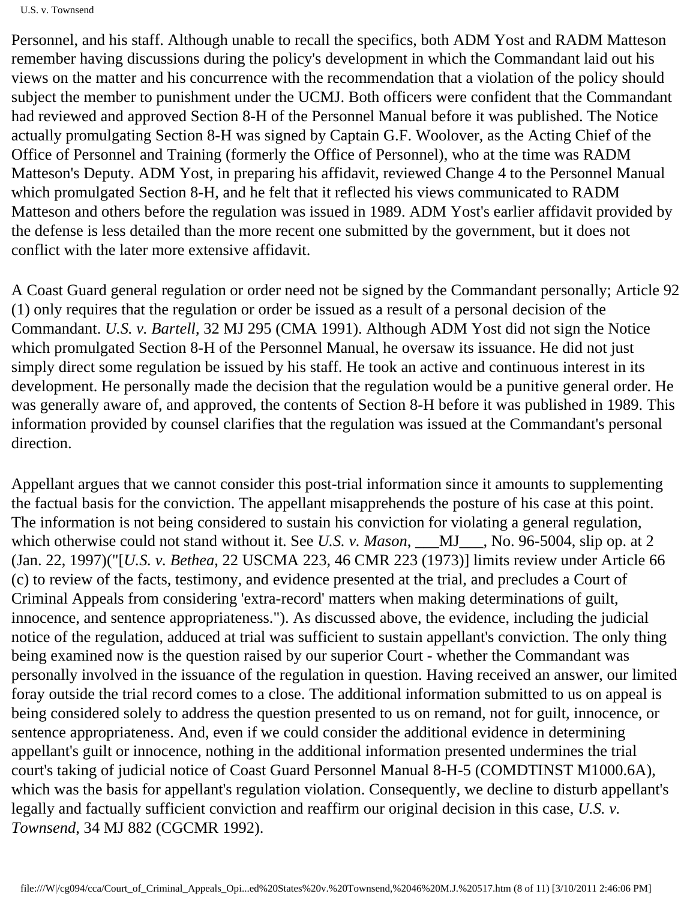Personnel, and his staff. Although unable to recall the specifics, both ADM Yost and RADM Matteson remember having discussions during the policy's development in which the Commandant laid out his views on the matter and his concurrence with the recommendation that a violation of the policy should subject the member to punishment under the UCMJ. Both officers were confident that the Commandant had reviewed and approved Section 8-H of the Personnel Manual before it was published. The Notice actually promulgating Section 8-H was signed by Captain G.F. Woolover, as the Acting Chief of the Office of Personnel and Training (formerly the Office of Personnel), who at the time was RADM Matteson's Deputy. ADM Yost, in preparing his affidavit, reviewed Change 4 to the Personnel Manual which promulgated Section 8-H, and he felt that it reflected his views communicated to RADM Matteson and others before the regulation was issued in 1989. ADM Yost's earlier affidavit provided by the defense is less detailed than the more recent one submitted by the government, but it does not conflict with the later more extensive affidavit.

A Coast Guard general regulation or order need not be signed by the Commandant personally; Article 92 (1) only requires that the regulation or order be issued as a result of a personal decision of the Commandant. *U.S. v. Bartell*, 32 MJ 295 (CMA 1991). Although ADM Yost did not sign the Notice which promulgated Section 8-H of the Personnel Manual, he oversaw its issuance. He did not just simply direct some regulation be issued by his staff. He took an active and continuous interest in its development. He personally made the decision that the regulation would be a punitive general order. He was generally aware of, and approved, the contents of Section 8-H before it was published in 1989. This information provided by counsel clarifies that the regulation was issued at the Commandant's personal direction.

Appellant argues that we cannot consider this post-trial information since it amounts to supplementing the factual basis for the conviction. The appellant misapprehends the posture of his case at this point. The information is not being considered to sustain his conviction for violating a general regulation, which otherwise could not stand without it. See *U.S. v. Mason*, \_\_\_MJ\_\_\_, No. 96-5004, slip op. at 2 (Jan. 22, 1997)("[*U.S. v. Bethea*, 22 USCMA 223, 46 CMR 223 (1973)] limits review under Article 66 (c) to review of the facts, testimony, and evidence presented at the trial, and precludes a Court of Criminal Appeals from considering 'extra-record' matters when making determinations of guilt, innocence, and sentence appropriateness."). As discussed above, the evidence, including the judicial notice of the regulation, adduced at trial was sufficient to sustain appellant's conviction. The only thing being examined now is the question raised by our superior Court - whether the Commandant was personally involved in the issuance of the regulation in question. Having received an answer, our limited foray outside the trial record comes to a close. The additional information submitted to us on appeal is being considered solely to address the question presented to us on remand, not for guilt, innocence, or sentence appropriateness. And, even if we could consider the additional evidence in determining appellant's guilt or innocence, nothing in the additional information presented undermines the trial court's taking of judicial notice of Coast Guard Personnel Manual 8-H-5 (COMDTINST M1000.6A), which was the basis for appellant's regulation violation. Consequently, we decline to disturb appellant's legally and factually sufficient conviction and reaffirm our original decision in this case, *U.S. v. Townsend*, 34 MJ 882 (CGCMR 1992).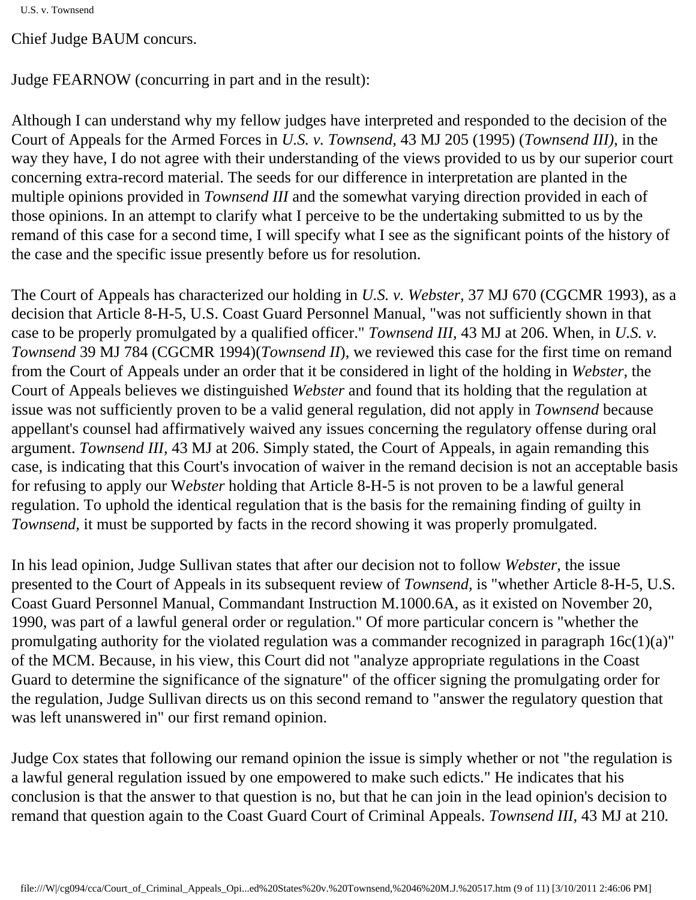Chief Judge BAUM concurs.

Judge FEARNOW (concurring in part and in the result):

Although I can understand why my fellow judges have interpreted and responded to the decision of the Court of Appeals for the Armed Forces in *U.S. v. Townsend,* 43 MJ 205 (1995) (*Townsend III)*, in the way they have, I do not agree with their understanding of the views provided to us by our superior court concerning extra-record material. The seeds for our difference in interpretation are planted in the multiple opinions provided in *Townsend III* and the somewhat varying direction provided in each of those opinions. In an attempt to clarify what I perceive to be the undertaking submitted to us by the remand of this case for a second time, I will specify what I see as the significant points of the history of the case and the specific issue presently before us for resolution.

The Court of Appeals has characterized our holding in *U.S. v. Webster,* 37 MJ 670 (CGCMR 1993), as a decision that Article 8-H-5, U.S. Coast Guard Personnel Manual, "was not sufficiently shown in that case to be properly promulgated by a qualified officer." *Townsend III,* 43 MJ at 206. When, in *U.S. v. Townsend* 39 MJ 784 (CGCMR 1994)(*Townsend II*), we reviewed this case for the first time on remand from the Court of Appeals under an order that it be considered in light of the holding in *Webster,* the Court of Appeals believes we distinguished *Webster* and found that its holding that the regulation at issue was not sufficiently proven to be a valid general regulation, did not apply in *Townsend* because appellant's counsel had affirmatively waived any issues concerning the regulatory offense during oral argument. *Townsend III,* 43 MJ at 206. Simply stated, the Court of Appeals, in again remanding this case, is indicating that this Court's invocation of waiver in the remand decision is not an acceptable basis for refusing to apply our W*ebster* holding that Article 8-H-5 is not proven to be a lawful general regulation. To uphold the identical regulation that is the basis for the remaining finding of guilty in *Townsend,* it must be supported by facts in the record showing it was properly promulgated.

In his lead opinion, Judge Sullivan states that after our decision not to follow *Webster,* the issue presented to the Court of Appeals in its subsequent review of *Townsend,* is "whether Article 8-H-5, U.S. Coast Guard Personnel Manual, Commandant Instruction M.1000.6A, as it existed on November 20, 1990, was part of a lawful general order or regulation." Of more particular concern is "whether the promulgating authority for the violated regulation was a commander recognized in paragraph 16c(1)(a)" of the MCM. Because, in his view, this Court did not "analyze appropriate regulations in the Coast Guard to determine the significance of the signature" of the officer signing the promulgating order for the regulation, Judge Sullivan directs us on this second remand to "answer the regulatory question that was left unanswered in" our first remand opinion.

Judge Cox states that following our remand opinion the issue is simply whether or not "the regulation is a lawful general regulation issued by one empowered to make such edicts." He indicates that his conclusion is that the answer to that question is no, but that he can join in the lead opinion's decision to remand that question again to the Coast Guard Court of Criminal Appeals. *Townsend III,* 43 MJ at 210*.*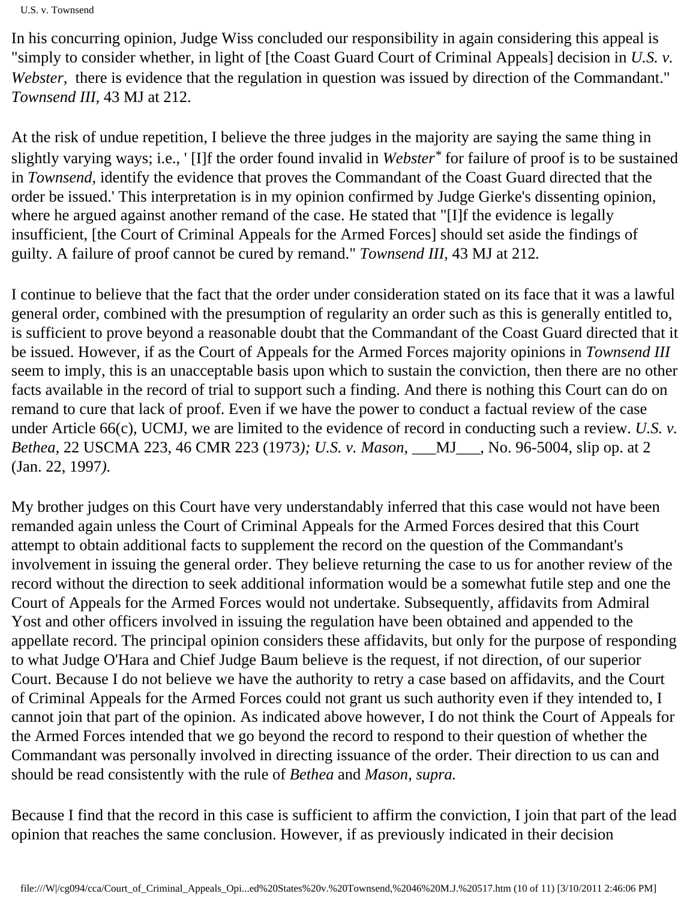In his concurring opinion, Judge Wiss concluded our responsibility in again considering this appeal is "simply to consider whether, in light of [the Coast Guard Court of Criminal Appeals] decision in *U.S. v. Webster*, I there is evidence that the regulation in question was issued by direction of the Commandant." *Townsend III,* 43 MJ at 212.

At the risk of undue repetition, I believe the three judges in the majority are saying the same thing in slightly varying ways; i.e., ' [I]f the order found invalid in *Webster\** for failure of proof is to be sustained in *Townsend,* identify the evidence that proves the Commandant of the Coast Guard directed that the order be issued.' This interpretation is in my opinion confirmed by Judge Gierke's dissenting opinion, where he argued against another remand of the case. He stated that "[I]f the evidence is legally insufficient, [the Court of Criminal Appeals for the Armed Forces] should set aside the findings of guilty. A failure of proof cannot be cured by remand." *Townsend III,* 43 MJ at 212*.*

I continue to believe that the fact that the order under consideration stated on its face that it was a lawful general order, combined with the presumption of regularity an order such as this is generally entitled to, is sufficient to prove beyond a reasonable doubt that the Commandant of the Coast Guard directed that it be issued. However, if as the Court of Appeals for the Armed Forces majority opinions in *Townsend III*  seem to imply, this is an unacceptable basis upon which to sustain the conviction, then there are no other facts available in the record of trial to support such a finding. And there is nothing this Court can do on remand to cure that lack of proof. Even if we have the power to conduct a factual review of the case under Article 66(c), UCMJ, we are limited to the evidence of record in conducting such a review. *U.S. v. Bethea,* 22 USCMA 223, 46 CMR 223 (1973*); U.S. v. Mason,* \_\_\_MJ\_\_\_, No. 96-5004, slip op. at 2 (Jan. 22, 1997*).*

My brother judges on this Court have very understandably inferred that this case would not have been remanded again unless the Court of Criminal Appeals for the Armed Forces desired that this Court attempt to obtain additional facts to supplement the record on the question of the Commandant's involvement in issuing the general order. They believe returning the case to us for another review of the record without the direction to seek additional information would be a somewhat futile step and one the Court of Appeals for the Armed Forces would not undertake. Subsequently, affidavits from Admiral Yost and other officers involved in issuing the regulation have been obtained and appended to the appellate record. The principal opinion considers these affidavits, but only for the purpose of responding to what Judge O'Hara and Chief Judge Baum believe is the request, if not direction, of our superior Court. Because I do not believe we have the authority to retry a case based on affidavits, and the Court of Criminal Appeals for the Armed Forces could not grant us such authority even if they intended to, I cannot join that part of the opinion. As indicated above however, I do not think the Court of Appeals for the Armed Forces intended that we go beyond the record to respond to their question of whether the Commandant was personally involved in directing issuance of the order. Their direction to us can and should be read consistently with the rule of *Bethea* and *Mason, supra.*

Because I find that the record in this case is sufficient to affirm the conviction, I join that part of the lead opinion that reaches the same conclusion. However, if as previously indicated in their decision